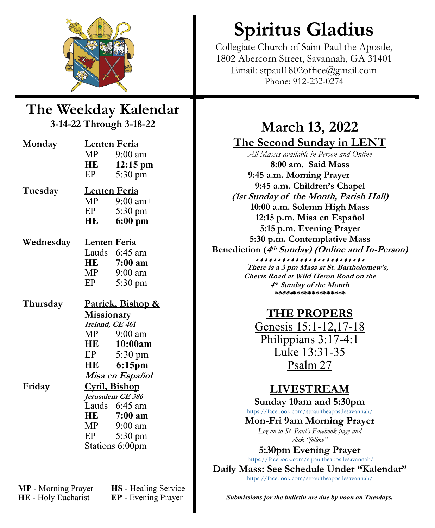

### **The Weekday Kalendar 3-14-22 Through 3-18-22**

| Monday             | <u>Lenten Feria</u><br>MP <sub>1</sub><br>HE<br>EP                                               | $9:00$ am<br>12:15 pm<br>5:30 pm                                                                                                                                                                    |
|--------------------|--------------------------------------------------------------------------------------------------|-----------------------------------------------------------------------------------------------------------------------------------------------------------------------------------------------------|
| Tuesday            | Lenten Feria<br>EP<br>HE                                                                         | $MP$ 9:00 am+<br>5:30 pm<br>$6:00$ pm                                                                                                                                                               |
| Wednesday          | <u>Lenten Feria</u><br>HE<br>MP —<br>EP                                                          | Lauds 6:45 am<br>$7:00$ am<br>9:00 am<br>5:30 pm                                                                                                                                                    |
| Thursday<br>Friday | <b>Missionary</b><br>Ireland, CE 461<br>MP<br>HE<br>EP<br><b>HE</b><br>Cyril, Bishop<br>HE<br>EP | Patrick, Bishop &<br>$9:00$ am<br>10:00am<br>$5:30 \text{ pm}$<br>6:15pm<br>Misa en Español<br>Jerusalem CE 386<br>Lauds 6:45 am<br>7:00 am<br>$MP$ 9:00 am<br>$5:30 \text{ pm}$<br>Stations 6:00pm |

**MP** - Morning Prayer **HS** - Healing Service **HE** - Holy Eucharist **EP** - Evening Prayer

# **Spiritus Gladius**

Collegiate Church of Saint Paul the Apostle, 1802 Abercorn Street, Savannah, GA 31401 Email: stpaul1802office@gmail.com Phone: 912-232-0274

# **March 13, 2022 The Second Sunday in LENT**

*All Masses available in Person and Online* **8:00 am. Said Mass 9:45 a.m. Morning Prayer 9:45 a.m. Children's Chapel (1st Sunday of the Month, Parish Hall) 10:00 a.m. Solemn High Mass 12:15 p.m. Misa en Español 5:15 p.m. Evening Prayer 5:30 p.m. Contemplative Mass Benediction (<sup>4</sup>th Sunday) (Online and In-Person)** \*\*\*\*\*\*\*\*\*\*\*\*\*\*\*\*\*\*\*\*\*\*\*\*\* **There is a 3 pm Mass at St. Bartholomew's,**

**Chevis Road at Wild Heron Road on the 4th Sunday of the Month \*\*\*\*\*\*\*\*\*\*\*\*\*\*\*\*\*\*\***

# **THE PROPERS**

[Genesis 15:1](https://www.lectionarypage.net/YearC_RCL/Lent/CLent2_RCL.html#ot1)-12,17-18 [Philippians 3:17](https://www.lectionarypage.net/YearC_RCL/Lent/CLent2_RCL.html#nt1)-4:1 [Luke 13:31](https://www.lectionarypage.net/YearC_RCL/Lent/CLent2_RCL.html#gsp1)-35 [Psalm 27](https://www.lectionarypage.net/YearC_RCL/Lent/CLent2_RCL.html#ps1)

# **LIVESTREAM**

**Sunday 10am and 5:30pm**

<https://facebook.com/stpaultheapostlesavannah/>

**Mon-Fri 9am Morning Prayer**  *Log on to St. Paul's Facebook page and*

*click "follow"*

**5:30pm Evening Prayer** <https://facebook.com/stpaultheapostlesavannah/>

**Daily Mass: See Schedule Under "Kalendar"** <https://facebook.com/stpaultheapostlesavannah/>

*Submissions for the bulletin are due by noon on Tuesdays.*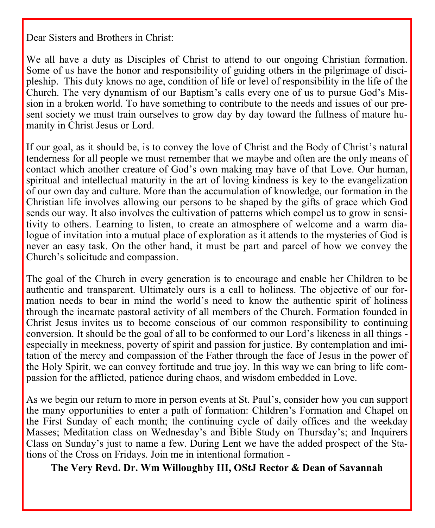Dear Sisters and Brothers in Christ:

We all have a duty as Disciples of Christ to attend to our ongoing Christian formation. Some of us have the honor and responsibility of guiding others in the pilgrimage of discipleship. This duty knows no age, condition of life or level of responsibility in the life of the Church. The very dynamism of our Baptism's calls every one of us to pursue God's Mission in a broken world. To have something to contribute to the needs and issues of our present society we must train ourselves to grow day by day toward the fullness of mature humanity in Christ Jesus or Lord.

If our goal, as it should be, is to convey the love of Christ and the Body of Christ's natural tenderness for all people we must remember that we maybe and often are the only means of contact which another creature of God's own making may have of that Love. Our human, spiritual and intellectual maturity in the art of loving kindness is key to the evangelization of our own day and culture. More than the accumulation of knowledge, our formation in the Christian life involves allowing our persons to be shaped by the gifts of grace which God sends our way. It also involves the cultivation of patterns which compel us to grow in sensitivity to others. Learning to listen, to create an atmosphere of welcome and a warm dialogue of invitation into a mutual place of exploration as it attends to the mysteries of God is never an easy task. On the other hand, it must be part and parcel of how we convey the Church's solicitude and compassion.

The goal of the Church in every generation is to encourage and enable her Children to be authentic and transparent. Ultimately ours is a call to holiness. The objective of our formation needs to bear in mind the world's need to know the authentic spirit of holiness through the incarnate pastoral activity of all members of the Church. Formation founded in Christ Jesus invites us to become conscious of our common responsibility to continuing conversion. It should be the goal of all to be conformed to our Lord's likeness in all things especially in meekness, poverty of spirit and passion for justice. By contemplation and imitation of the mercy and compassion of the Father through the face of Jesus in the power of the Holy Spirit, we can convey fortitude and true joy. In this way we can bring to life compassion for the afflicted, patience during chaos, and wisdom embedded in Love.

As we begin our return to more in person events at St. Paul's, consider how you can support the many opportunities to enter a path of formation: Children's Formation and Chapel on the First Sunday of each month; the continuing cycle of daily offices and the weekday Masses; Meditation class on Wednesday's and Bible Study on Thursday's; and Inquirers Class on Sunday's just to name a few. During Lent we have the added prospect of the Stations of the Cross on Fridays. Join me in intentional formation -

**The Very Revd. Dr. Wm Willoughby III, OStJ Rector & Dean of Savannah**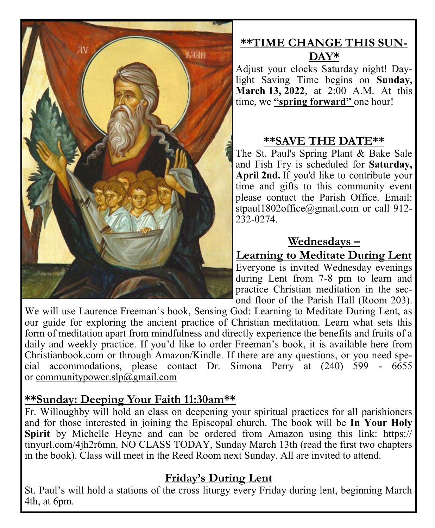

# **\*\*TIME CHANGE THIS SUN-DAY\***

Adjust your clocks Saturday night! Daylight Saving Time begins on **Sunday, March 13, 2022**, at 2:00 A.M. At this time, we **"spring forward"** one hour!

### **\*\*SAVE THE DATE\*\***

The St. Paul's Spring Plant & Bake Sale and Fish Fry is scheduled for **Saturday, April 2nd.** If you'd like to contribute your time and gifts to this community event please contact the Parish Office. Email: stpaul1802office@gmail.com or call 912-232-0274.

### **Wednesdays –**

**Learning to Meditate During Lent**

Everyone is invited Wednesday evenings during Lent from 7-8 pm to learn and practice Christian meditation in the second floor of the Parish Hall (Room 203).

We will use Laurence Freeman's book, Sensing God: Learning to Meditate During Lent, as our guide for exploring the ancient practice of Christian meditation. Learn what sets this form of meditation apart from mindfulness and directly experience the benefits and fruits of a daily and weekly practice. If you'd like to order Freeman's book, it is available here from Christianbook.com or through Amazon/Kindle. If there are any questions, or you need special accommodations, please contact Dr. Simona Perry at (240) 599 - 6655 or [communitypower.slp@gmail.com](mailto:communitypower.slp@gmail.com)

### **\*\*Sunday: Deeping Your Faith 11:30am\*\***

Fr. Willoughby will hold an class on deepening your spiritual practices for all parishioners and for those interested in joining the Episcopal church. The book will be **In Your Holy Spirit** by Michelle Heyne and can be ordered from Amazon using this link: https:// tinyurl.com/4jh2r6mn. NO CLASS TODAY, Sunday March 13th (read the first two chapters in the book). Class will meet in the Reed Room next Sunday. All are invited to attend.

### **Friday's During Lent**

St. Paul's will hold a stations of the cross liturgy every Friday during lent, beginning March 4th, at 6pm.